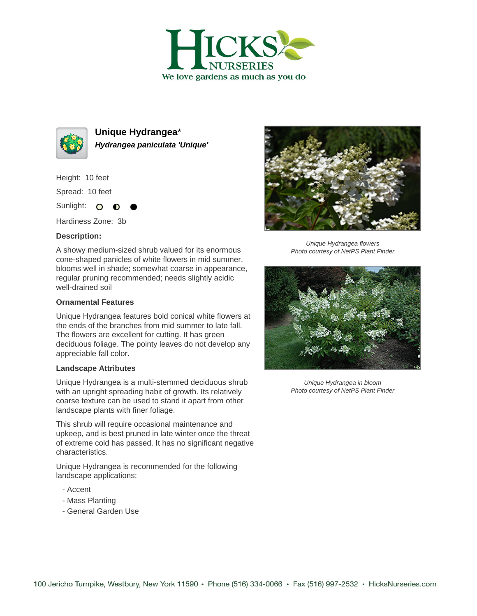



**Unique Hydrangea**\* **Hydrangea paniculata 'Unique'**

Height: 10 feet

Spread: 10 feet

Sunlight: O  $\bullet$ 

Hardiness Zone: 3b

## **Description:**

A showy medium-sized shrub valued for its enormous cone-shaped panicles of white flowers in mid summer, blooms well in shade; somewhat coarse in appearance, regular pruning recommended; needs slightly acidic well-drained soil

## **Ornamental Features**

Unique Hydrangea features bold conical white flowers at the ends of the branches from mid summer to late fall. The flowers are excellent for cutting. It has green deciduous foliage. The pointy leaves do not develop any appreciable fall color.

## **Landscape Attributes**

Unique Hydrangea is a multi-stemmed deciduous shrub with an upright spreading habit of growth. Its relatively coarse texture can be used to stand it apart from other landscape plants with finer foliage.

This shrub will require occasional maintenance and upkeep, and is best pruned in late winter once the threat of extreme cold has passed. It has no significant negative characteristics.

Unique Hydrangea is recommended for the following landscape applications;

- Accent
- Mass Planting
- General Garden Use



Unique Hydrangea flowers Photo courtesy of NetPS Plant Finder



Unique Hydrangea in bloom Photo courtesy of NetPS Plant Finder